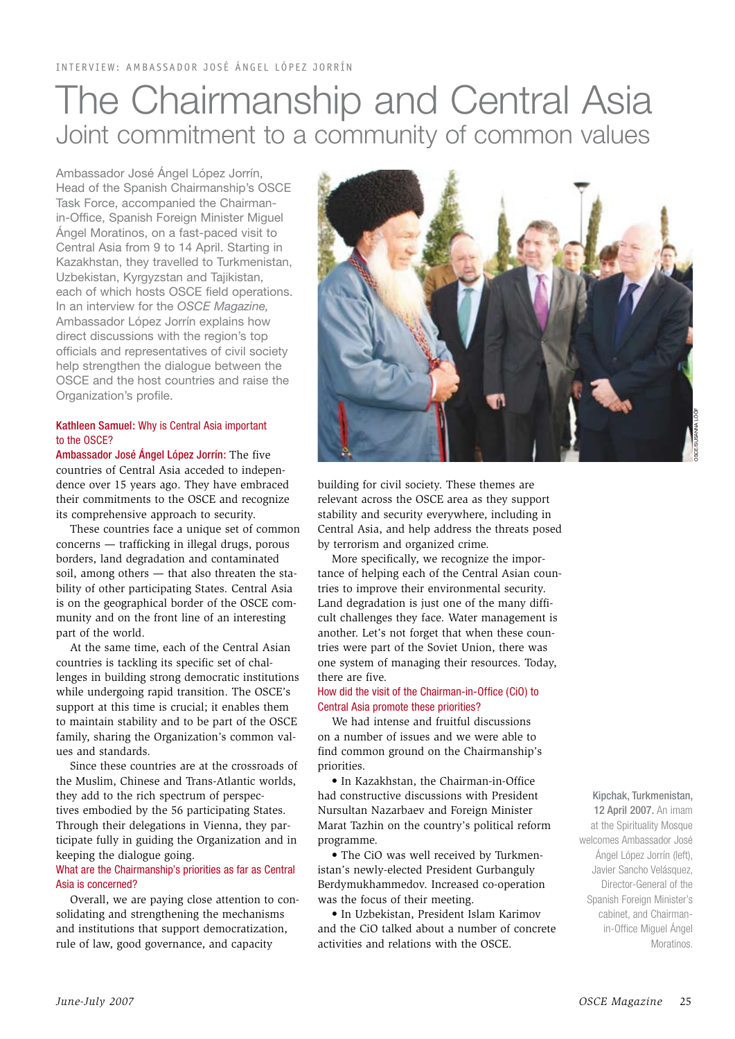# The Chairmanship and Central Asia Joint commitment to a community of common values

Ambassador José Ángel López Jorrín, Head of the Spanish Chairmanship's OSCE Task Force, accompanied the Chairmanin-Office, Spanish Foreign Minister Miguel Ángel Moratinos, on a fast-paced visit to Central Asia from 9 to 14 April. Starting in Kazakhstan, they travelled to Turkmenistan, Uzbekistan, Kyrgyzstan and Tajikistan, each of which hosts OSCE field operations. In an interview for the *OSCE Magazine,* Ambassador López Jorrín explains how direct discussions with the region's top officials and representatives of civil society help strengthen the dialogue between the OSCE and the host countries and raise the Organization's profile.

## Kathleen Samuel: Why is Central Asia important to the OSCE?

Ambassador José Ángel López Jorrín: The five countries of Central Asia acceded to independence over 15 years ago. They have embraced their commitments to the OSCE and recognize its comprehensive approach to security.

These countries face a unique set of common concerns — trafficking in illegal drugs, porous borders, land degradation and contaminated soil, among others — that also threaten the stability of other participating States. Central Asia is on the geographical border of the OSCE community and on the front line of an interesting part of the world.

At the same time, each of the Central Asian countries is tackling its specific set of challenges in building strong democratic institutions while undergoing rapid transition. The OSCE's support at this time is crucial; it enables them to maintain stability and to be part of the OSCE family, sharing the Organization's common values and standards.

Since these countries are at the crossroads of the Muslim, Chinese and Trans-Atlantic worlds, they add to the rich spectrum of perspectives embodied by the 56 participating States. Through their delegations in Vienna, they participate fully in guiding the Organization and in keeping the dialogue going.

## What are the Chairmanship's priorities as far as Central Asia is concerned?

Overall, we are paying close attention to consolidating and strengthening the mechanisms and institutions that support democratization, rule of law, good governance, and capacity



building for civil society. These themes are relevant across the OSCE area as they support stability and security everywhere, including in Central Asia, and help address the threats posed by terrorism and organized crime.

More specifically, we recognize the importance of helping each of the Central Asian countries to improve their environmental security. Land degradation is just one of the many difficult challenges they face. Water management is another. Let's not forget that when these countries were part of the Soviet Union, there was one system of managing their resources. Today, there are five.

#### How did the visit of the Chairman-in-Office (CiO) to Central Asia promote these priorities?

We had intense and fruitful discussions on a number of issues and we were able to find common ground on the Chairmanship's priorities.

• In Kazakhstan, the Chairman-in-Office had constructive discussions with President Nursultan Nazarbaev and Foreign Minister Marat Tazhin on the country's political reform programme.

• The CiO was well received by Turkmenistan's newly-elected President Gurbanguly Berdymukhammedov. Increased co-operation was the focus of their meeting.

• In Uzbekistan, President Islam Karimov and the CiO talked about a number of concrete activities and relations with the OSCE.

Kipchak, Turkmenistan, 12 April 2007. An imam at the Spirituality Mosque welcomes Ambassador José Ángel López Jorrín (left), Javier Sancho Velásquez, Director-General of the Spanish Foreign Minister's cabinet, and Chairmanin-Office Miguel Ángel Moratinos.